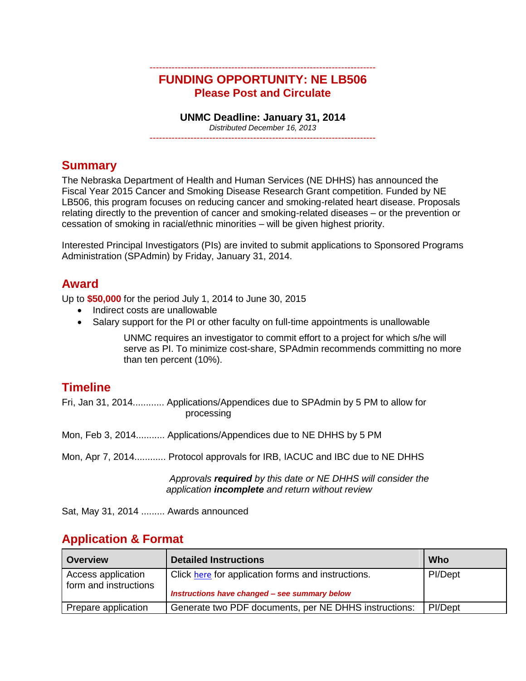#### ------------------------------------------------------------------------ **FUNDING OPPORTUNITY: NE LB506 Please Post and Circulate**

#### **UNMC Deadline: January 31, 2014**

*Distributed December 16, 2013* ------------------------------------------------------------------------

## **Summary**

The Nebraska Department of Health and Human Services (NE DHHS) has announced the Fiscal Year 2015 Cancer and Smoking Disease Research Grant competition. Funded by NE LB506, this program focuses on reducing cancer and smoking-related heart disease. Proposals relating directly to the prevention of cancer and smoking-related diseases – or the prevention or cessation of smoking in racial/ethnic minorities – will be given highest priority.

Interested Principal Investigators (PIs) are invited to submit applications to Sponsored Programs Administration (SPAdmin) by Friday, January 31, 2014.

#### **Award**

Up to **\$50,000** for the period July 1, 2014 to June 30, 2015

- Indirect costs are unallowable
- Salary support for the PI or other faculty on full-time appointments is unallowable

UNMC requires an investigator to commit effort to a project for which s/he will serve as PI. To minimize cost-share, SPAdmin recommends committing no more than ten percent (10%).

## **Timeline**

| processing | Fri, Jan 31, 2014 Applications/Appendices due to SPAdmin by 5 PM to allow for                                           |  |
|------------|-------------------------------------------------------------------------------------------------------------------------|--|
|            | Mon, Feb 3, 2014 Applications/Appendices due to NE DHHS by 5 PM                                                         |  |
|            | Mon, Apr 7, 2014 Protocol approvals for IRB, IACUC and IBC due to NE DHHS                                               |  |
|            | Approvals required by this date or NE DHHS will consider the<br>application <i>incomplete</i> and return without review |  |

Sat, May 31, 2014 ......... Awards announced

## **Application & Format**

| <b>Overview</b>                             | <b>Detailed Instructions</b>                                                                        | Who     |
|---------------------------------------------|-----------------------------------------------------------------------------------------------------|---------|
| Access application<br>form and instructions | Click here for application forms and instructions.<br>Instructions have changed - see summary below | PI/Dept |
| Prepare application                         | Generate two PDF documents, per NE DHHS instructions:                                               | PI/Dept |